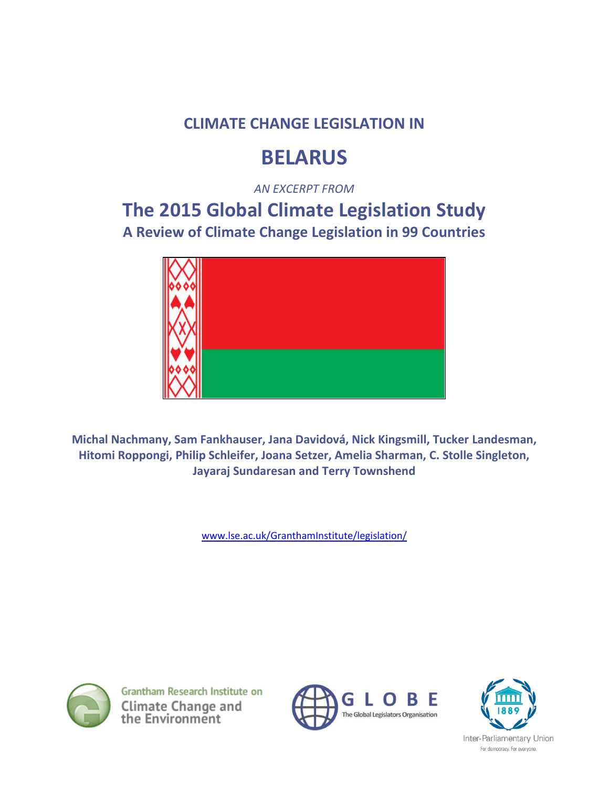### **CLIMATE CHANGE LEGISLATION IN**

# **BELARUS**

*AN EXCERPT FROM* 

## **The 2015 Global Climate Legislation Study A Review of Climate Change Legislation in 99 Countries**



**Michal Nachmany, Sam Fankhauser, Jana Davidová, Nick Kingsmill, Tucker Landesman, Hitomi Roppongi, Philip Schleifer, Joana Setzer, Amelia Sharman, C. Stolle Singleton, Jayaraj Sundaresan and Terry Townshend**

[www.lse.ac.uk/GranthamInstitute/legislation/](http://www.lse.ac.uk/GranthamInstitute/legislation/)



**Grantham Research Institute on** Climate Change and<br>the Environment





Inter-Parliamentary Union For democracy. For everyone.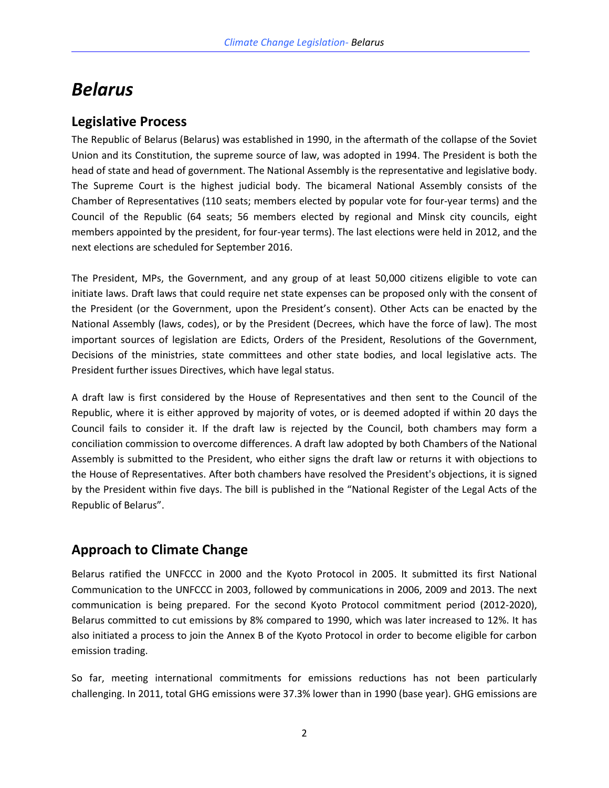### *Belarus*

### **Legislative Process**

The Republic of Belarus (Belarus) was established in 1990, in the aftermath of the collapse of the Soviet Union and its Constitution, the supreme source of law, was adopted in 1994. The President is both the head of state and head of government. The National Assembly is the representative and legislative body. The Supreme Court is the highest judicial body. The bicameral National Assembly consists of the Chamber of Representatives (110 seats; members elected by popular vote for four-year terms) and the Council of the Republic (64 seats; 56 members elected by regional and Minsk city councils, eight members appointed by the president, for four-year terms). The last elections were held in 2012, and the next elections are scheduled for September 2016.

The President, MPs, the Government, and any group of at least 50,000 citizens eligible to vote can initiate laws. Draft laws that could require net state expenses can be proposed only with the consent of the President (or the Government, upon the President's consent). Other Acts can be enacted by the National Assembly (laws, codes), or by the President (Decrees, which have the force of law). The most important sources of legislation are Edicts, Orders of the President, Resolutions of the Government, Decisions of the ministries, state committees and other state bodies, and local legislative acts. The President further issues Directives, which have legal status.

A draft law is first considered by the House of Representatives and then sent to the Council of the Republic, where it is either approved by majority of votes, or is deemed adopted if within 20 days the Council fails to consider it. If the draft law is rejected by the Council, both chambers may form a conciliation commission to overcome differences. A draft law adopted by both Chambers of the National Assembly is submitted to the President, who either signs the draft law or returns it with objections to the House of Representatives. After both chambers have resolved the President's objections, it is signed by the President within five days. The bill is published in the "National Register of the Legal Acts of the Republic of Belarus".

### **Approach to Climate Change**

Belarus ratified the UNFCCC in 2000 and the Kyoto Protocol in 2005. It submitted its first National Communication to the UNFCCC in 2003, followed by communications in 2006, 2009 and 2013. The next communication is being prepared. For the second Kyoto Protocol commitment period (2012-2020), Belarus committed to cut emissions by 8% compared to 1990, which was later increased to 12%. It has also initiated a process to join the Annex B of the Kyoto Protocol in order to become eligible for carbon emission trading.

So far, meeting international commitments for emissions reductions has not been particularly challenging. In 2011, total GHG emissions were 37.3% lower than in 1990 (base year). GHG emissions are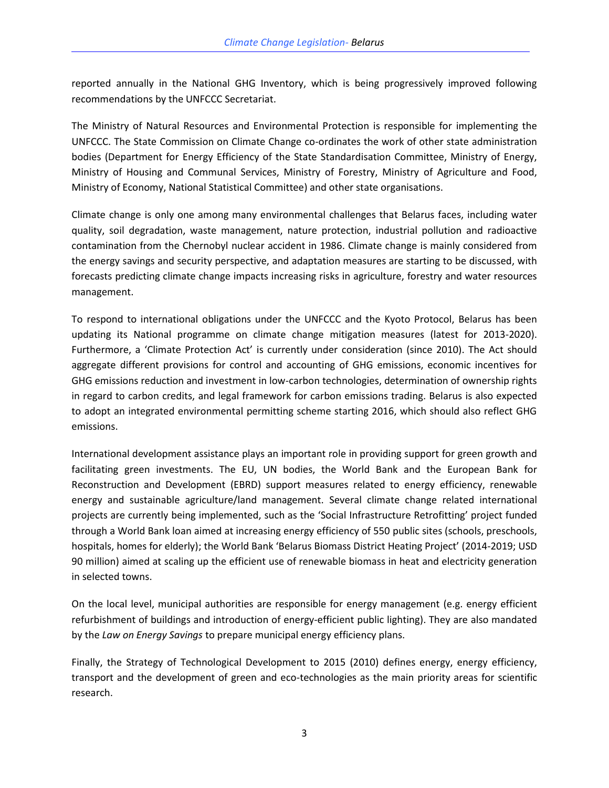reported annually in the National GHG Inventory, which is being progressively improved following recommendations by the UNFCCC Secretariat.

The Ministry of Natural Resources and Environmental Protection is responsible for implementing the UNFCCC. The State Commission on Climate Change co-ordinates the work of other state administration bodies (Department for Energy Efficiency of the State Standardisation Committee, Ministry of Energy, Ministry of Housing and Communal Services, Ministry of Forestry, Ministry of Agriculture and Food, Ministry of Economy, National Statistical Committee) and other state organisations.

Climate change is only one among many environmental challenges that Belarus faces, including water quality, soil degradation, waste management, nature protection, industrial pollution and radioactive contamination from the Chernobyl nuclear accident in 1986. Climate change is mainly considered from the energy savings and security perspective, and adaptation measures are starting to be discussed, with forecasts predicting climate change impacts increasing risks in agriculture, forestry and water resources management.

To respond to international obligations under the UNFCCC and the Kyoto Protocol, Belarus has been updating its National programme on climate change mitigation measures (latest for 2013-2020). Furthermore, a 'Climate Protection Act' is currently under consideration (since 2010). The Act should aggregate different provisions for control and accounting of GHG emissions, economic incentives for GHG emissions reduction and investment in low-carbon technologies, determination of ownership rights in regard to carbon credits, and legal framework for carbon emissions trading. Belarus is also expected to adopt an integrated environmental permitting scheme starting 2016, which should also reflect GHG emissions.

International development assistance plays an important role in providing support for green growth and facilitating green investments. The EU, UN bodies, the World Bank and the European Bank for Reconstruction and Development (EBRD) support measures related to energy efficiency, renewable energy and sustainable agriculture/land management. Several climate change related international projects are currently being implemented, such as the 'Social Infrastructure Retrofitting' project funded through a World Bank loan aimed at increasing energy efficiency of 550 public sites (schools, preschools, hospitals, homes for elderly); the World Bank 'Belarus Biomass District Heating Project' (2014-2019; USD 90 million) aimed at scaling up the efficient use of renewable biomass in heat and electricity generation in selected towns.

On the local level, municipal authorities are responsible for energy management (e.g. energy efficient refurbishment of buildings and introduction of energy-efficient public lighting). They are also mandated by the *Law on Energy Savings* to prepare municipal energy efficiency plans.

Finally, the Strategy of Technological Development to 2015 (2010) defines energy, energy efficiency, transport and the development of green and eco-technologies as the main priority areas for scientific research.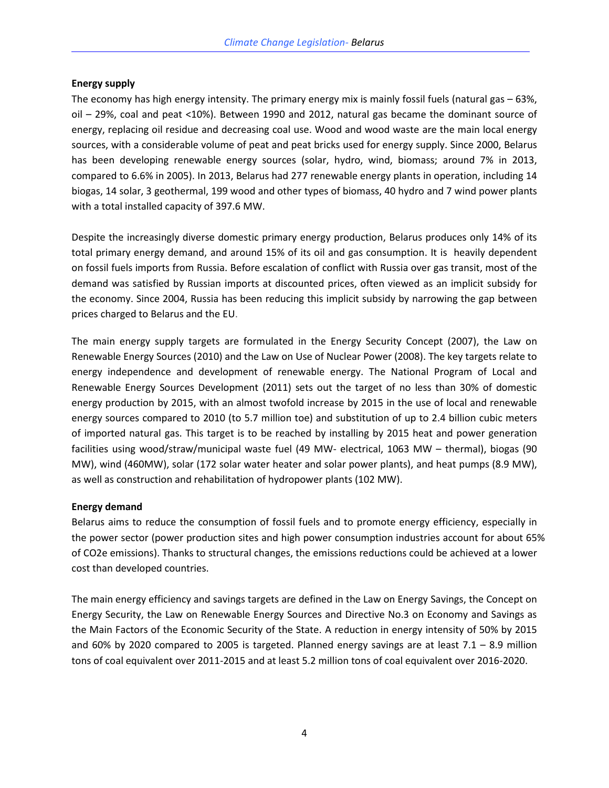#### **Energy supply**

The economy has high energy intensity. The primary energy mix is mainly fossil fuels (natural gas – 63%, oil – 29%, coal and peat <10%). Between 1990 and 2012, natural gas became the dominant source of energy, replacing oil residue and decreasing coal use. Wood and wood waste are the main local energy sources, with a considerable volume of peat and peat bricks used for energy supply. Since 2000, Belarus has been developing renewable energy sources (solar, hydro, wind, biomass; around 7% in 2013, compared to 6.6% in 2005). In 2013, Belarus had 277 renewable energy plants in operation, including 14 biogas, 14 solar, 3 geothermal, 199 wood and other types of biomass, 40 hydro and 7 wind power plants with a total installed capacity of 397.6 MW.

Despite the increasingly diverse domestic primary energy production, Belarus produces only 14% of its total primary energy demand, and around 15% of its oil and gas consumption. It is heavily dependent on fossil fuels imports from Russia. Before escalation of conflict with Russia over gas transit, most of the demand was satisfied by Russian imports at discounted prices, often viewed as an implicit subsidy for the economy. Since 2004, Russia has been reducing this implicit subsidy by narrowing the gap between prices charged to Belarus and the EU.

The main energy supply targets are formulated in the Energy Security Concept (2007), the Law on Renewable Energy Sources (2010) and the Law on Use of Nuclear Power (2008). The key targets relate to energy independence and development of renewable energy. The National Program of Local and Renewable Energy Sources Development (2011) sets out the target of no less than 30% of domestic energy production by 2015, with an almost twofold increase by 2015 in the use of local and renewable energy sources compared to 2010 (to 5.7 million toe) and substitution of up to 2.4 billion cubic meters of imported natural gas. This target is to be reached by installing by 2015 heat and power generation facilities using wood/straw/municipal waste fuel (49 MW- electrical, 1063 MW – thermal), biogas (90 MW), wind (460MW), solar (172 solar water heater and solar power plants), and heat pumps (8.9 MW), as well as construction and rehabilitation of hydropower plants (102 MW).

#### **Energy demand**

Belarus aims to reduce the consumption of fossil fuels and to promote energy efficiency, especially in the power sector (power production sites and high power consumption industries account for about 65% of CO2e emissions). Thanks to structural changes, the emissions reductions could be achieved at a lower cost than developed countries.

The main energy efficiency and savings targets are defined in the Law on Energy Savings, the Concept on Energy Security, the Law on Renewable Energy Sources and Directive No.3 on Economy and Savings as the Main Factors of the Economic Security of the State. A reduction in energy intensity of 50% by 2015 and 60% by 2020 compared to 2005 is targeted. Planned energy savings are at least  $7.1 - 8.9$  million tons of coal equivalent over 2011-2015 and at least 5.2 million tons of coal equivalent over 2016-2020.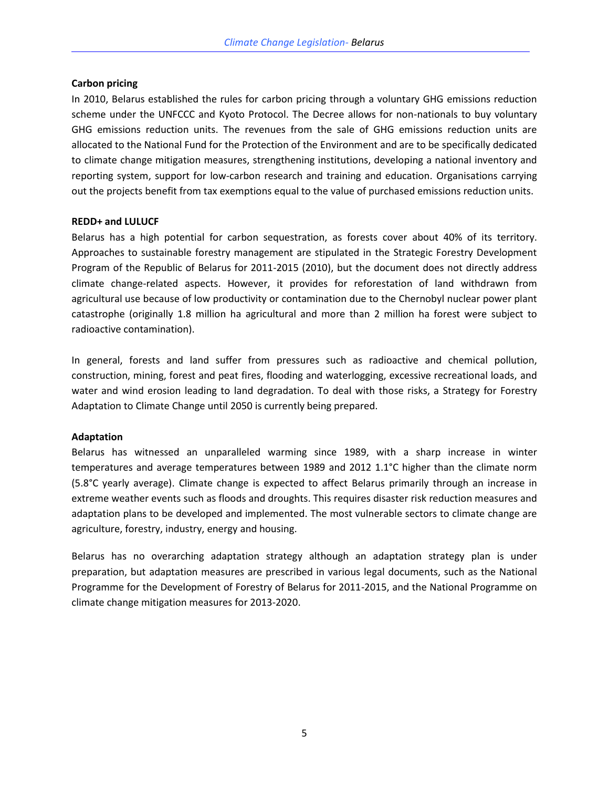#### **Carbon pricing**

In 2010, Belarus established the rules for carbon pricing through a voluntary GHG emissions reduction scheme under the UNFCCC and Kyoto Protocol. The Decree allows for non-nationals to buy voluntary GHG emissions reduction units. The revenues from the sale of GHG emissions reduction units are allocated to the National Fund for the Protection of the Environment and are to be specifically dedicated to climate change mitigation measures, strengthening institutions, developing a national inventory and reporting system, support for low-carbon research and training and education. Organisations carrying out the projects benefit from tax exemptions equal to the value of purchased emissions reduction units.

#### **REDD+ and LULUCF**

Belarus has a high potential for carbon sequestration, as forests cover about 40% of its territory. Approaches to sustainable forestry management are stipulated in the Strategic Forestry Development Program of the Republic of Belarus for 2011-2015 (2010), but the document does not directly address climate change-related aspects. However, it provides for reforestation of land withdrawn from agricultural use because of low productivity or contamination due to the Chernobyl nuclear power plant catastrophe (originally 1.8 million ha agricultural and more than 2 million ha forest were subject to radioactive contamination).

In general, forests and land suffer from pressures such as radioactive and chemical pollution, construction, mining, forest and peat fires, flooding and waterlogging, excessive recreational loads, and water and wind erosion leading to land degradation. To deal with those risks, a Strategy for Forestry Adaptation to Climate Change until 2050 is currently being prepared.

#### **Adaptation**

Belarus has witnessed an unparalleled warming since 1989, with a sharp increase in winter temperatures and average temperatures between 1989 and 2012 1.1°C higher than the climate norm (5.8°C yearly average). Climate change is expected to affect Belarus primarily through an increase in extreme weather events such as floods and droughts. This requires disaster risk reduction measures and adaptation plans to be developed and implemented. The most vulnerable sectors to climate change are agriculture, forestry, industry, energy and housing.

Belarus has no overarching adaptation strategy although an adaptation strategy plan is under preparation, but adaptation measures are prescribed in various legal documents, such as the National Programme for the Development of Forestry of Belarus for 2011-2015, and the National Programme on climate change mitigation measures for 2013-2020.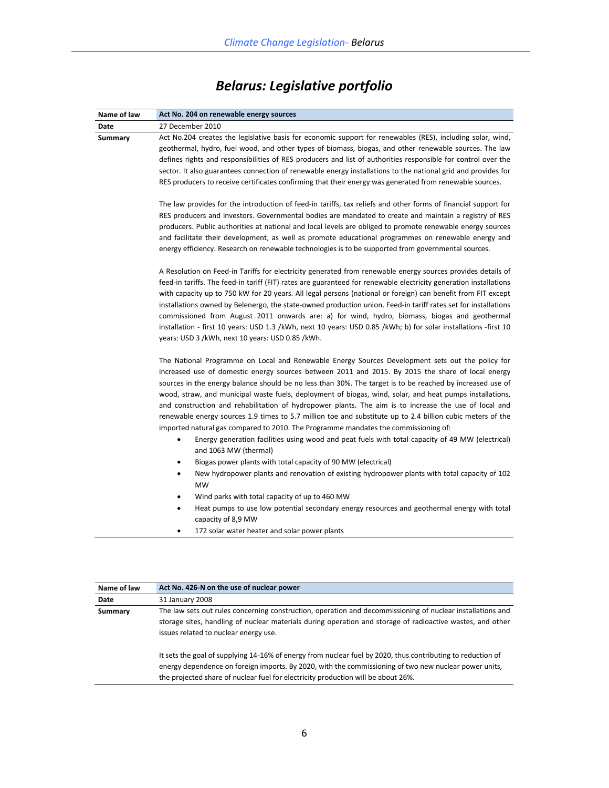| Name of law | Act No. 204 on renewable energy sources                                                                                                                                                                                                                                                                                                                                                                                                                                                                                                                                                                                                                                                                                                                                                                                                                                                                                                                                                                                                                                                                                                                                                                                          |
|-------------|----------------------------------------------------------------------------------------------------------------------------------------------------------------------------------------------------------------------------------------------------------------------------------------------------------------------------------------------------------------------------------------------------------------------------------------------------------------------------------------------------------------------------------------------------------------------------------------------------------------------------------------------------------------------------------------------------------------------------------------------------------------------------------------------------------------------------------------------------------------------------------------------------------------------------------------------------------------------------------------------------------------------------------------------------------------------------------------------------------------------------------------------------------------------------------------------------------------------------------|
| Date        | 27 December 2010                                                                                                                                                                                                                                                                                                                                                                                                                                                                                                                                                                                                                                                                                                                                                                                                                                                                                                                                                                                                                                                                                                                                                                                                                 |
| Summary     | Act No.204 creates the legislative basis for economic support for renewables (RES), including solar, wind,<br>geothermal, hydro, fuel wood, and other types of biomass, biogas, and other renewable sources. The law<br>defines rights and responsibilities of RES producers and list of authorities responsible for control over the<br>sector. It also guarantees connection of renewable energy installations to the national grid and provides for<br>RES producers to receive certificates confirming that their energy was generated from renewable sources.                                                                                                                                                                                                                                                                                                                                                                                                                                                                                                                                                                                                                                                               |
|             | The law provides for the introduction of feed-in tariffs, tax reliefs and other forms of financial support for<br>RES producers and investors. Governmental bodies are mandated to create and maintain a registry of RES<br>producers. Public authorities at national and local levels are obliged to promote renewable energy sources<br>and facilitate their development, as well as promote educational programmes on renewable energy and<br>energy efficiency. Research on renewable technologies is to be supported from governmental sources.                                                                                                                                                                                                                                                                                                                                                                                                                                                                                                                                                                                                                                                                             |
|             | A Resolution on Feed-in Tariffs for electricity generated from renewable energy sources provides details of<br>feed-in tariffs. The feed-in tariff (FIT) rates are guaranteed for renewable electricity generation installations<br>with capacity up to 750 kW for 20 years. All legal persons (national or foreign) can benefit from FIT except<br>installations owned by Belenergo, the state-owned production union. Feed-in tariff rates set for installations<br>commissioned from August 2011 onwards are: a) for wind, hydro, biomass, biogas and geothermal<br>installation - first 10 years: USD 1.3 /kWh, next 10 years: USD 0.85 /kWh; b) for solar installations -first 10<br>years: USD 3 /kWh, next 10 years: USD 0.85 /kWh.                                                                                                                                                                                                                                                                                                                                                                                                                                                                                       |
|             | The National Programme on Local and Renewable Energy Sources Development sets out the policy for<br>increased use of domestic energy sources between 2011 and 2015. By 2015 the share of local energy<br>sources in the energy balance should be no less than 30%. The target is to be reached by increased use of<br>wood, straw, and municipal waste fuels, deployment of biogas, wind, solar, and heat pumps installations,<br>and construction and rehabilitation of hydropower plants. The aim is to increase the use of local and<br>renewable energy sources 1.9 times to 5.7 million toe and substitute up to 2.4 billion cubic meters of the<br>imported natural gas compared to 2010. The Programme mandates the commissioning of:<br>Energy generation facilities using wood and peat fuels with total capacity of 49 MW (electrical)<br>and 1063 MW (thermal)<br>Biogas power plants with total capacity of 90 MW (electrical)<br>٠<br>New hydropower plants and renovation of existing hydropower plants with total capacity of 102<br>٠<br><b>MW</b><br>Wind parks with total capacity of up to 460 MW<br>Heat pumps to use low potential secondary energy resources and geothermal energy with total<br>$\bullet$ |
|             | capacity of 8,9 MW<br>172 solar water heater and solar power plants                                                                                                                                                                                                                                                                                                                                                                                                                                                                                                                                                                                                                                                                                                                                                                                                                                                                                                                                                                                                                                                                                                                                                              |

## *Belarus: Legislative portfolio*

| Name of law | Act No. 426-N on the use of nuclear power                                                                                                                                                                                                                                                                 |
|-------------|-----------------------------------------------------------------------------------------------------------------------------------------------------------------------------------------------------------------------------------------------------------------------------------------------------------|
| Date        | 31 January 2008                                                                                                                                                                                                                                                                                           |
| Summary     | The law sets out rules concerning construction, operation and decommissioning of nuclear installations and                                                                                                                                                                                                |
|             | storage sites, handling of nuclear materials during operation and storage of radioactive wastes, and other                                                                                                                                                                                                |
|             | issues related to nuclear energy use.                                                                                                                                                                                                                                                                     |
|             | It sets the goal of supplying 14-16% of energy from nuclear fuel by 2020, thus contributing to reduction of<br>energy dependence on foreign imports. By 2020, with the commissioning of two new nuclear power units,<br>the projected share of nuclear fuel for electricity production will be about 26%. |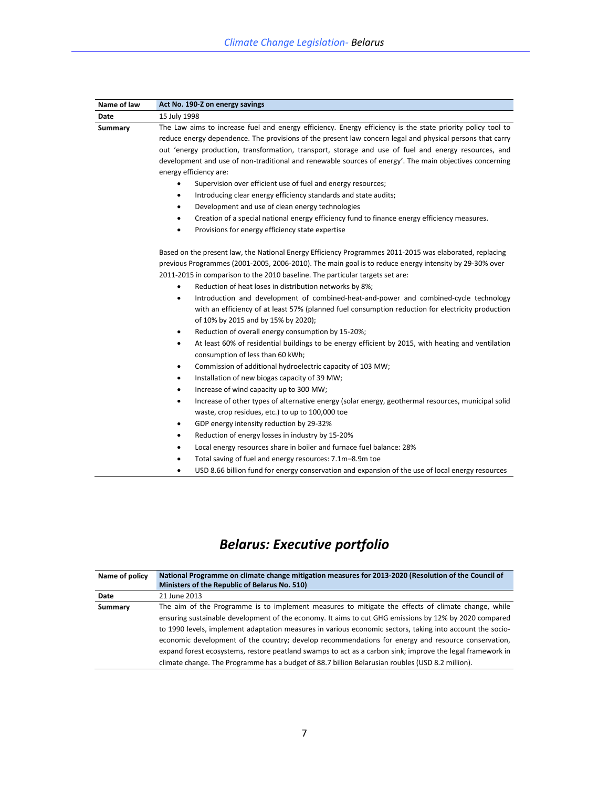| Name of law | Act No. 190-Z on energy savings                                                                                                             |
|-------------|---------------------------------------------------------------------------------------------------------------------------------------------|
| Date        | 15 July 1998                                                                                                                                |
| Summary     | The Law aims to increase fuel and energy efficiency. Energy efficiency is the state priority policy tool to                                 |
|             | reduce energy dependence. The provisions of the present law concern legal and physical persons that carry                                   |
|             | out 'energy production, transformation, transport, storage and use of fuel and energy resources, and                                        |
|             | development and use of non-traditional and renewable sources of energy'. The main objectives concerning                                     |
|             | energy efficiency are:                                                                                                                      |
|             | Supervision over efficient use of fuel and energy resources;                                                                                |
|             | Introducing clear energy efficiency standards and state audits;<br>٠                                                                        |
|             | Development and use of clean energy technologies<br>٠                                                                                       |
|             | Creation of a special national energy efficiency fund to finance energy efficiency measures.<br>٠                                           |
|             | Provisions for energy efficiency state expertise                                                                                            |
|             | Based on the present law, the National Energy Efficiency Programmes 2011-2015 was elaborated, replacing                                     |
|             | previous Programmes (2001-2005, 2006-2010). The main goal is to reduce energy intensity by 29-30% over                                      |
|             | 2011-2015 in comparison to the 2010 baseline. The particular targets set are:                                                               |
|             | Reduction of heat loses in distribution networks by 8%;                                                                                     |
|             | Introduction and development of combined-heat-and-power and combined-cycle technology<br>٠                                                  |
|             | with an efficiency of at least 57% (planned fuel consumption reduction for electricity production                                           |
|             | of 10% by 2015 and by 15% by 2020);                                                                                                         |
|             | Reduction of overall energy consumption by 15-20%;<br>٠                                                                                     |
|             | At least 60% of residential buildings to be energy efficient by 2015, with heating and ventilation<br>٠<br>consumption of less than 60 kWh; |
|             | Commission of additional hydroelectric capacity of 103 MW;<br>٠                                                                             |
|             | Installation of new biogas capacity of 39 MW;<br>٠                                                                                          |
|             | Increase of wind capacity up to 300 MW;<br>٠                                                                                                |
|             | Increase of other types of alternative energy (solar energy, geothermal resources, municipal solid<br>٠                                     |
|             | waste, crop residues, etc.) to up to 100,000 toe                                                                                            |
|             | GDP energy intensity reduction by 29-32%<br>٠                                                                                               |
|             | Reduction of energy losses in industry by 15-20%<br>٠                                                                                       |
|             | Local energy resources share in boiler and furnace fuel balance: 28%<br>٠                                                                   |

- Total saving of fuel and energy resources: 7.1m–8.9m toe
- USD 8.66 billion fund for energy conservation and expansion of the use of local energy resources

### *Belarus: Executive portfolio*

| Name of policy | National Programme on climate change mitigation measures for 2013-2020 (Resolution of the Council of      |
|----------------|-----------------------------------------------------------------------------------------------------------|
|                | Ministers of the Republic of Belarus No. 510)                                                             |
| Date           | 21 June 2013                                                                                              |
| Summary        | The aim of the Programme is to implement measures to mitigate the effects of climate change, while        |
|                | ensuring sustainable development of the economy. It aims to cut GHG emissions by 12% by 2020 compared     |
|                | to 1990 levels, implement adaptation measures in various economic sectors, taking into account the socio- |
|                | economic development of the country; develop recommendations for energy and resource conservation,        |
|                | expand forest ecosystems, restore peatland swamps to act as a carbon sink; improve the legal framework in |
|                | climate change. The Programme has a budget of 88.7 billion Belarusian roubles (USD 8.2 million).          |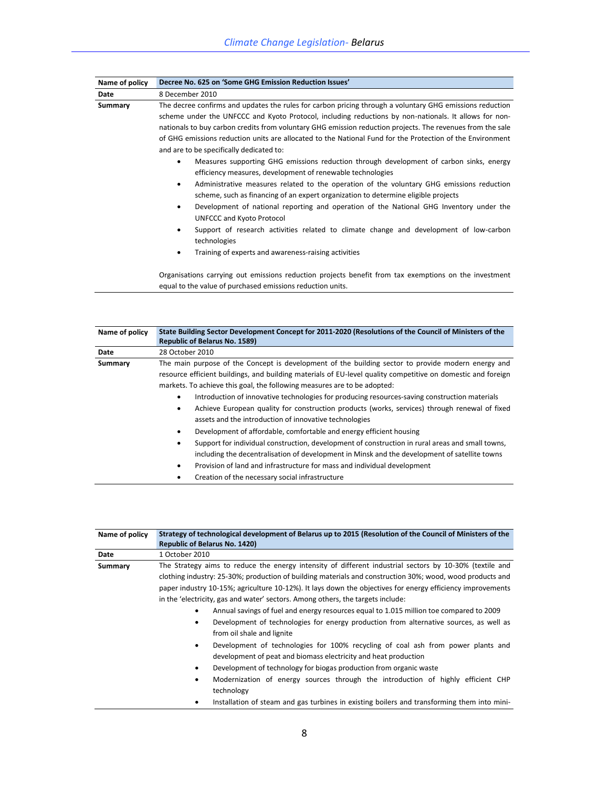| The decree confirms and updates the rules for carbon pricing through a voluntary GHG emissions reduction<br>scheme under the UNFCCC and Kyoto Protocol, including reductions by non-nationals. It allows for non-<br>nationals to buy carbon credits from voluntary GHG emission reduction projects. The revenues from the sale<br>of GHG emissions reduction units are allocated to the National Fund for the Protection of the Environment<br>Measures supporting GHG emissions reduction through development of carbon sinks, energy<br>efficiency measures, development of renewable technologies<br>Administrative measures related to the operation of the voluntary GHG emissions reduction<br>scheme, such as financing of an expert organization to determine eligible projects<br>Development of national reporting and operation of the National GHG Inventory under the<br>Support of research activities related to climate change and development of low-carbon<br>Training of experts and awareness-raising activities |
|---------------------------------------------------------------------------------------------------------------------------------------------------------------------------------------------------------------------------------------------------------------------------------------------------------------------------------------------------------------------------------------------------------------------------------------------------------------------------------------------------------------------------------------------------------------------------------------------------------------------------------------------------------------------------------------------------------------------------------------------------------------------------------------------------------------------------------------------------------------------------------------------------------------------------------------------------------------------------------------------------------------------------------------|
| Organisations carrying out emissions reduction projects benefit from tax exemptions on the investment                                                                                                                                                                                                                                                                                                                                                                                                                                                                                                                                                                                                                                                                                                                                                                                                                                                                                                                                 |

equal to the value of purchased emissions reduction units.

| Name of policy | State Building Sector Development Concept for 2011-2020 (Resolutions of the Council of Ministers of the      |
|----------------|--------------------------------------------------------------------------------------------------------------|
|                | <b>Republic of Belarus No. 1589)</b>                                                                         |
| Date           | 28 October 2010                                                                                              |
| Summary        | The main purpose of the Concept is development of the building sector to provide modern energy and           |
|                | resource efficient buildings, and building materials of EU-level quality competitive on domestic and foreign |
|                | markets. To achieve this goal, the following measures are to be adopted:                                     |
|                | Introduction of innovative technologies for producing resources-saving construction materials<br>٠           |
|                | Achieve European quality for construction products (works, services) through renewal of fixed<br>٠           |
|                | assets and the introduction of innovative technologies                                                       |
|                | Development of affordable, comfortable and energy efficient housing<br>٠                                     |
|                | Support for individual construction, development of construction in rural areas and small towns,<br>٠        |
|                | including the decentralisation of development in Minsk and the development of satellite towns                |
|                | Provision of land and infrastructure for mass and individual development<br>٠                                |
|                | Creation of the necessary social infrastructure                                                              |

| Name of policy | Strategy of technological development of Belarus up to 2015 (Resolution of the Council of Ministers of the<br><b>Republic of Belarus No. 1420)</b>                                                                                                                                                                                                                                                                                                                                                                                                                                                                                                                                                                                                                                                   |
|----------------|------------------------------------------------------------------------------------------------------------------------------------------------------------------------------------------------------------------------------------------------------------------------------------------------------------------------------------------------------------------------------------------------------------------------------------------------------------------------------------------------------------------------------------------------------------------------------------------------------------------------------------------------------------------------------------------------------------------------------------------------------------------------------------------------------|
| Date           | 1 October 2010                                                                                                                                                                                                                                                                                                                                                                                                                                                                                                                                                                                                                                                                                                                                                                                       |
| Summary        | The Strategy aims to reduce the energy intensity of different industrial sectors by 10-30% (textile and<br>clothing industry: 25-30%; production of building materials and construction 30%; wood, wood products and<br>paper industry 10-15%; agriculture 10-12%). It lays down the objectives for energy efficiency improvements<br>in the 'electricity, gas and water' sectors. Among others, the targets include:<br>Annual savings of fuel and energy resources equal to 1.015 million toe compared to 2009<br>٠<br>Development of technologies for energy production from alternative sources, as well as<br>from oil shale and lignite<br>Development of technologies for 100% recycling of coal ash from power plants and<br>development of peat and biomass electricity and heat production |
|                | Development of technology for biogas production from organic waste<br>Modernization of energy sources through the introduction of highly efficient CHP<br>٠                                                                                                                                                                                                                                                                                                                                                                                                                                                                                                                                                                                                                                          |
|                | technology                                                                                                                                                                                                                                                                                                                                                                                                                                                                                                                                                                                                                                                                                                                                                                                           |
|                | Installation of steam and gas turbines in existing boilers and transforming them into mini-                                                                                                                                                                                                                                                                                                                                                                                                                                                                                                                                                                                                                                                                                                          |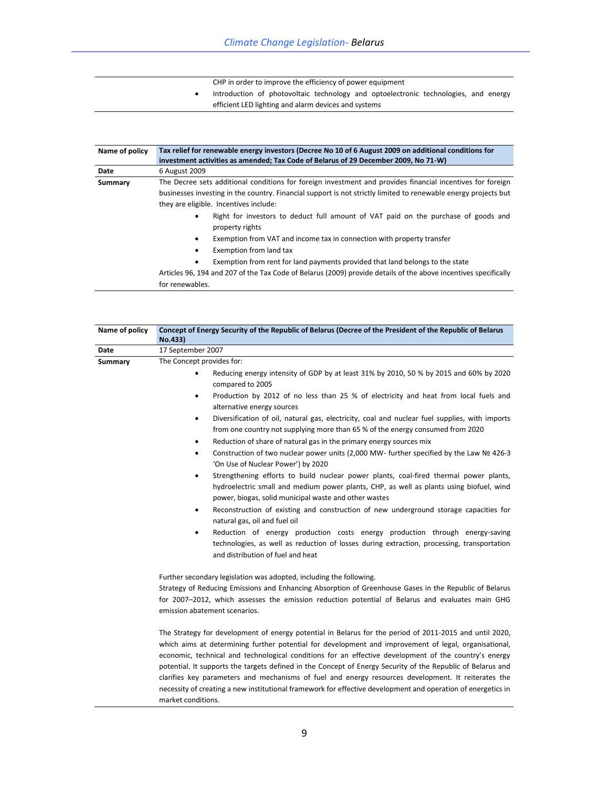| CHP in order to improve the efficiency of power equipment |  |
|-----------------------------------------------------------|--|
|-----------------------------------------------------------|--|

 Introduction of photovoltaic technology and optoelectronic technologies, and energy efficient LED lighting and alarm devices and systems

| Name of policy | Tax relief for renewable energy investors (Decree No 10 of 6 August 2009 on additional conditions for<br>investment activities as amended; Tax Code of Belarus of 29 December 2009, No 71-W) |
|----------------|----------------------------------------------------------------------------------------------------------------------------------------------------------------------------------------------|
| Date           | 6 August 2009                                                                                                                                                                                |
| Summary        | The Decree sets additional conditions for foreign investment and provides financial incentives for foreign                                                                                   |
|                | businesses investing in the country. Financial support is not strictly limited to renewable energy projects but                                                                              |
|                | they are eligible. Incentives include:                                                                                                                                                       |
|                | Right for investors to deduct full amount of VAT paid on the purchase of goods and<br>property rights                                                                                        |
|                | Exemption from VAT and income tax in connection with property transfer                                                                                                                       |
|                | Exemption from land tax                                                                                                                                                                      |
|                | Exemption from rent for land payments provided that land belongs to the state                                                                                                                |
|                | Articles 96, 194 and 207 of the Tax Code of Belarus (2009) provide details of the above incentives specifically                                                                              |
|                | for renewables.                                                                                                                                                                              |

| Name of policy | Concept of Energy Security of the Republic of Belarus (Decree of the President of the Republic of Belarus<br>No.433)                                                                                                                                                                                                                                                                                                                                                                                                                                                                                                                                                                                                                                                                                                                                                                                                                                                                                                                                                                                                                                                                                                                                                                                                                 |
|----------------|--------------------------------------------------------------------------------------------------------------------------------------------------------------------------------------------------------------------------------------------------------------------------------------------------------------------------------------------------------------------------------------------------------------------------------------------------------------------------------------------------------------------------------------------------------------------------------------------------------------------------------------------------------------------------------------------------------------------------------------------------------------------------------------------------------------------------------------------------------------------------------------------------------------------------------------------------------------------------------------------------------------------------------------------------------------------------------------------------------------------------------------------------------------------------------------------------------------------------------------------------------------------------------------------------------------------------------------|
| Date           | 17 September 2007                                                                                                                                                                                                                                                                                                                                                                                                                                                                                                                                                                                                                                                                                                                                                                                                                                                                                                                                                                                                                                                                                                                                                                                                                                                                                                                    |
| Summary        | The Concept provides for:<br>Reducing energy intensity of GDP by at least 31% by 2010, 50 % by 2015 and 60% by 2020<br>٠<br>compared to 2005<br>Production by 2012 of no less than 25 % of electricity and heat from local fuels and<br>$\bullet$<br>alternative energy sources<br>Diversification of oil, natural gas, electricity, coal and nuclear fuel supplies, with imports<br>$\bullet$<br>from one country not supplying more than 65 % of the energy consumed from 2020<br>Reduction of share of natural gas in the primary energy sources mix<br>$\bullet$<br>Construction of two nuclear power units (2,000 MW- further specified by the Law Nº 426-3<br>$\bullet$<br>'On Use of Nuclear Power') by 2020<br>Strengthening efforts to build nuclear power plants, coal-fired thermal power plants,<br>$\bullet$<br>hydroelectric small and medium power plants, CHP, as well as plants using biofuel, wind<br>power, biogas, solid municipal waste and other wastes<br>Reconstruction of existing and construction of new underground storage capacities for<br>٠<br>natural gas, oil and fuel oil<br>Reduction of energy production costs energy production through energy-saving<br>٠<br>technologies, as well as reduction of losses during extraction, processing, transportation<br>and distribution of fuel and heat |
|                | Further secondary legislation was adopted, including the following.<br>Strategy of Reducing Emissions and Enhancing Absorption of Greenhouse Gases in the Republic of Belarus<br>for 2007-2012, which assesses the emission reduction potential of Belarus and evaluates main GHG<br>emission abatement scenarios.<br>The Strategy for development of energy potential in Belarus for the period of 2011-2015 and until 2020,<br>which aims at determining further potential for development and improvement of legal, organisational,<br>economic, technical and technological conditions for an effective development of the country's energy<br>potential. It supports the targets defined in the Concept of Energy Security of the Republic of Belarus and<br>clarifies key parameters and mechanisms of fuel and energy resources development. It reiterates the<br>necessity of creating a new institutional framework for effective development and operation of energetics in                                                                                                                                                                                                                                                                                                                                                |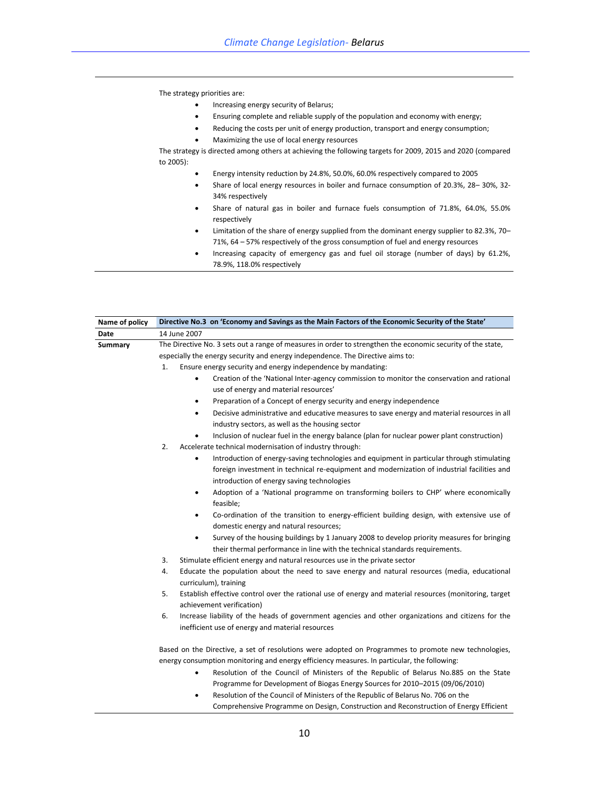The strategy priorities are:

- Increasing energy security of Belarus;
- Ensuring complete and reliable supply of the population and economy with energy;
- Reducing the costs per unit of energy production, transport and energy consumption;
- Maximizing the use of local energy resources

The strategy is directed among others at achieving the following targets for 2009, 2015 and 2020 (compared to 2005):

- Energy intensity reduction by 24.8%, 50.0%, 60.0% respectively compared to 2005
- Share of local energy resources in boiler and furnace consumption of 20.3%, 28– 30%, 32- 34% respectively
- Share of natural gas in boiler and furnace fuels consumption of 71.8%, 64.0%, 55.0% respectively
- Limitation of the share of energy supplied from the dominant energy supplier to 82.3%, 70– 71%, 64 – 57% respectively of the gross consumption of fuel and energy resources
- Increasing capacity of emergency gas and fuel oil storage (number of days) by 61.2%, 78.9%, 118.0% respectively

| Name of policy | Directive No.3 on 'Economy and Savings as the Main Factors of the Economic Security of the State'                                                                                                                                                                                                                                                                                                                                                                                                                |
|----------------|------------------------------------------------------------------------------------------------------------------------------------------------------------------------------------------------------------------------------------------------------------------------------------------------------------------------------------------------------------------------------------------------------------------------------------------------------------------------------------------------------------------|
| Date           | 14 June 2007                                                                                                                                                                                                                                                                                                                                                                                                                                                                                                     |
| Summary        | The Directive No. 3 sets out a range of measures in order to strengthen the economic security of the state,<br>especially the energy security and energy independence. The Directive aims to:<br>1.<br>Ensure energy security and energy independence by mandating:<br>$\bullet$                                                                                                                                                                                                                                 |
|                | Creation of the 'National Inter-agency commission to monitor the conservation and rational<br>use of energy and material resources'<br>Preparation of a Concept of energy security and energy independence<br>٠<br>Decisive administrative and educative measures to save energy and material resources in all<br>٠<br>industry sectors, as well as the housing sector<br>Inclusion of nuclear fuel in the energy balance (plan for nuclear power plant construction)<br>٠                                       |
|                | 2.<br>Accelerate technical modernisation of industry through:<br>Introduction of energy-saving technologies and equipment in particular through stimulating<br>foreign investment in technical re-equipment and modernization of industrial facilities and<br>introduction of energy saving technologies<br>Adoption of a 'National programme on transforming boilers to CHP' where economically<br>٠<br>feasible;<br>Co-ordination of the transition to energy-efficient building design, with extensive use of |
|                | domestic energy and natural resources;<br>Survey of the housing buildings by 1 January 2008 to develop priority measures for bringing<br>٠<br>their thermal performance in line with the technical standards requirements.                                                                                                                                                                                                                                                                                       |
|                | 3.<br>Stimulate efficient energy and natural resources use in the private sector                                                                                                                                                                                                                                                                                                                                                                                                                                 |
|                | 4.<br>Educate the population about the need to save energy and natural resources (media, educational<br>curriculum), training                                                                                                                                                                                                                                                                                                                                                                                    |
|                | 5.<br>Establish effective control over the rational use of energy and material resources (monitoring, target<br>achievement verification)                                                                                                                                                                                                                                                                                                                                                                        |
|                | 6.<br>Increase liability of the heads of government agencies and other organizations and citizens for the<br>inefficient use of energy and material resources                                                                                                                                                                                                                                                                                                                                                    |
|                | Based on the Directive, a set of resolutions were adopted on Programmes to promote new technologies,<br>energy consumption monitoring and energy efficiency measures. In particular, the following:<br>Resolution of the Council of Ministers of the Republic of Belarus No.885 on the State<br>٠<br>Programme for Development of Biogas Energy Sources for 2010-2015 (09/06/2010)                                                                                                                               |

 Resolution of the Council of Ministers of the Republic of Belarus No. 706 on the Comprehensive Programme on Design, Construction and Reconstruction of Energy Efficient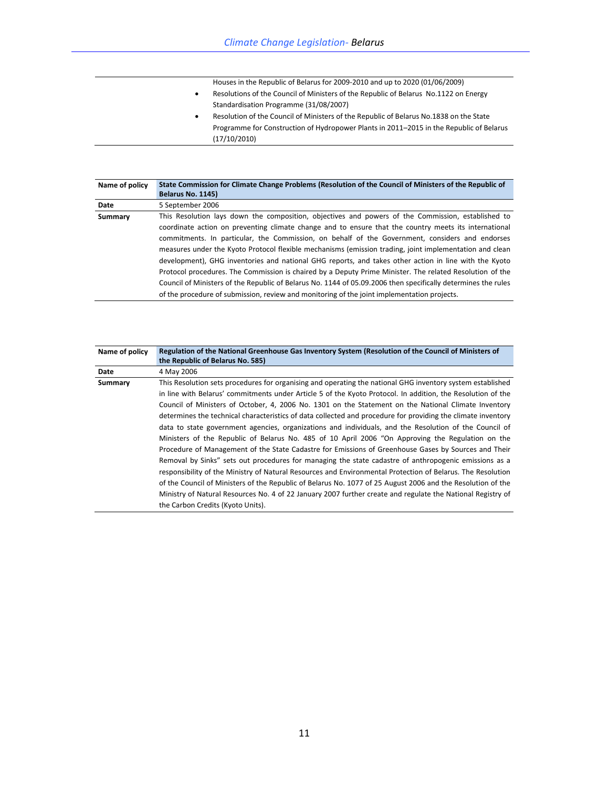- Houses in the Republic of Belarus for 2009-2010 and up to 2020 (01/06/2009)
- Resolutions of the Council of Ministers of the Republic of Belarus No.1122 on Energy Standardisation Programme (31/08/2007)
- Resolution of the Council of Ministers of the Republic of Belarus No.1838 on the State Programme for Construction of Hydropower Plants in 2011–2015 in the Republic of Belarus (17/10/2010)

| Name of policy | State Commission for Climate Change Problems (Resolution of the Council of Ministers of the Republic of<br>Belarus No. 1145)                                                                                                                                                                                                                                                                                                                                                                                                                                                                                                                                                                                                                                                                                                                                   |
|----------------|----------------------------------------------------------------------------------------------------------------------------------------------------------------------------------------------------------------------------------------------------------------------------------------------------------------------------------------------------------------------------------------------------------------------------------------------------------------------------------------------------------------------------------------------------------------------------------------------------------------------------------------------------------------------------------------------------------------------------------------------------------------------------------------------------------------------------------------------------------------|
| Date           | 5 September 2006                                                                                                                                                                                                                                                                                                                                                                                                                                                                                                                                                                                                                                                                                                                                                                                                                                               |
| Summary        | This Resolution lays down the composition, objectives and powers of the Commission, established to<br>coordinate action on preventing climate change and to ensure that the country meets its international<br>commitments. In particular, the Commission, on behalf of the Government, considers and endorses<br>measures under the Kyoto Protocol flexible mechanisms (emission trading, joint implementation and clean<br>development), GHG inventories and national GHG reports, and takes other action in line with the Kyoto<br>Protocol procedures. The Commission is chaired by a Deputy Prime Minister. The related Resolution of the<br>Council of Ministers of the Republic of Belarus No. 1144 of 05.09.2006 then specifically determines the rules<br>of the procedure of submission, review and monitoring of the joint implementation projects. |

| Name of policy | Regulation of the National Greenhouse Gas Inventory System (Resolution of the Council of Ministers of<br>the Republic of Belarus No. 585) |
|----------------|-------------------------------------------------------------------------------------------------------------------------------------------|
| Date           | 4 May 2006                                                                                                                                |
| Summary        | This Resolution sets procedures for organising and operating the national GHG inventory system established                                |
|                | in line with Belarus' commitments under Article 5 of the Kyoto Protocol. In addition, the Resolution of the                               |
|                | Council of Ministers of October, 4, 2006 No. 1301 on the Statement on the National Climate Inventory                                      |
|                | determines the technical characteristics of data collected and procedure for providing the climate inventory                              |
|                | data to state government agencies, organizations and individuals, and the Resolution of the Council of                                    |
|                | Ministers of the Republic of Belarus No. 485 of 10 April 2006 "On Approving the Regulation on the                                         |
|                | Procedure of Management of the State Cadastre for Emissions of Greenhouse Gases by Sources and Their                                      |
|                | Removal by Sinks" sets out procedures for managing the state cadastre of anthropogenic emissions as a                                     |
|                | responsibility of the Ministry of Natural Resources and Environmental Protection of Belarus. The Resolution                               |
|                | of the Council of Ministers of the Republic of Belarus No. 1077 of 25 August 2006 and the Resolution of the                               |
|                | Ministry of Natural Resources No. 4 of 22 January 2007 further create and regulate the National Registry of                               |
|                | the Carbon Credits (Kyoto Units).                                                                                                         |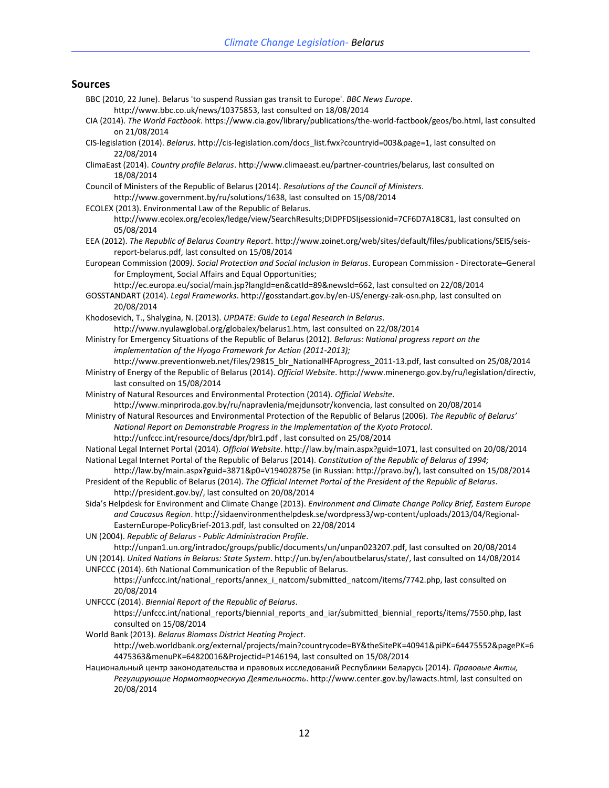#### **Sources**

- BBC (2010, 22 June). Belarus 'to suspend Russian gas transit to Europe'. *BBC News Europe*. http://www.bbc.co.uk/news/10375853, last consulted on 18/08/2014 CIA (2014). *The World Factbook*. https://www.cia.gov/library/publications/the-world-factbook/geos/bo.html, last consulted on 21/08/2014 CIS-legislation (2014). *Belarus*. http://cis-legislation.com/docs\_list.fwx?countryid=003&page=1, last consulted on 22/08/2014 ClimaEast (2014). *Country profile Belarus*. http://www.climaeast.eu/partner-countries/belarus, last consulted on 18/08/2014 Council of Ministers of the Republic of Belarus (2014). *Resolutions of the Council of Ministers*. http://www.government.by/ru/solutions/1638, last consulted on 15/08/2014 ECOLEX (2013). Environmental Law of the Republic of Belarus. http://www.ecolex.org/ecolex/ledge/view/SearchResults;DIDPFDSIjsessionid=7CF6D7A18C81, last consulted on 05/08/2014 EEA (2012). *The Republic of Belarus Country Report*. http://www.zoinet.org/web/sites/default/files/publications/SEIS/seisreport-belarus.pdf, last consulted on 15/08/2014 European Commission (2009*). Social Protection and Social Inclusion in Belarus*. European Commission - Directorate–General for Employment, Social Affairs and Equal Opportunities; [http://ec.europa.eu/social/main.jsp?langId=en&catId=89&newsId=662,](http://ec.europa.eu/social/main.jsp?langId=en&catId=89&newsId=662) last consulted on 22/08/2014 GOSSTANDART (2014). *Legal Frameworks*. http://gosstandart.gov.by/en-US/energy-zak-osn.php, last consulted on 20/08/2014 Khodosevich, T., Shalygina, N. (2013). *UPDATE: Guide to Legal Research in Belarus*. http://www.nyulawglobal.org/globalex/belarus1.htm, last consulted on 22/08/2014 Ministry for Emergency Situations of the Republic of Belarus (2012). *Belarus: National progress report on the implementation of the Hyogo Framework for Action (2011-2013);* [http://www.preventionweb.net/files/29815\\_blr\\_NationalHFAprogress\\_2011-13.pdf,](http://www.preventionweb.net/files/29815_blr_NationalHFAprogress_2011-13.pdf) last consulted on 25/08/2014 Ministry of Energy of the Republic of Belarus (2014). *Official Website*. http://www.minenergo.gov.by/ru/legislation/directiv, last consulted on 15/08/2014 Ministry of Natural Resources and Environmental Protection (2014). *Official Website*. http://www.minpriroda.gov.by/ru/napravlenia/mejdunsotr/konvencia, last consulted on 20/08/2014 Ministry of Natural Resources and Environmental Protection of the Republic of Belarus (2006). *The Republic of Belarus' National Report on Demonstrable Progress in the Implementation of the Kyoto Protocol*. http://unfccc.int/resource/docs/dpr/blr1.pdf , last consulted on 25/08/2014 National Legal Internet Portal (2014). *Official Website*. http://law.by/main.aspx?guid=1071, last consulted on 20/08/2014 National Legal Internet Portal of the Republic of Belarus (2014). *Constitution of the Republic of Belarus of 1994;*  http://law.by/main.aspx?guid=3871&p0=V19402875e (in Russian: http://pravo.by/), last consulted on 15/08/2014 President of the Republic of Belarus (2014). *The Official Internet Portal of the President of the Republic of Belarus*. http://president.gov.by/, last consulted on 20/08/2014 Sida's Helpdesk for Environment and Climate Change (2013). *Environment and Climate Change Policy Brief, Eastern Europe and Caucasus Region*. http://sidaenvironmenthelpdesk.se/wordpress3/wp-content/uploads/2013/04/Regional-EasternEurope-PolicyBrief-2013.pdf, last consulted on 22/08/2014 UN (2004). *Republic of Belarus - Public Administration Profile*. http://unpan1.un.org/intradoc/groups/public/documents/un/unpan023207.pdf, last consulted on 20/08/2014 UN (2014). *United Nations in Belarus: State System*. http://un.by/en/aboutbelarus/state/, last consulted on 14/08/2014 UNFCCC (2014). 6th National Communication of the Republic of Belarus. https://unfccc.int/national\_reports/annex\_i\_natcom/submitted\_natcom/items/7742.php, last consulted on 20/08/2014 UNFCCC (2014). *Biennial Report of the Republic of Belarus*. https://unfccc.int/national\_reports/biennial\_reports\_and\_iar/submitted\_biennial\_reports/items/7550.php, last consulted on 15/08/2014 World Bank (2013). *Belarus Biomass District Heating Project*.
	- http://web.worldbank.org/external/projects/main?countrycode=BY&theSitePK=40941&piPK=64475552&pagePK=6 4475363&menuPK=64820016&Projectid=P146194, last consulted on 15/08/2014
- Национальный центр законодательства и правовых исследований Республики Беларусь (2014). *Правовые Акты, Регулирующие Нормотворческую Деятельность*. http://www.center.gov.by/lawacts.html, last consulted on 20/08/2014